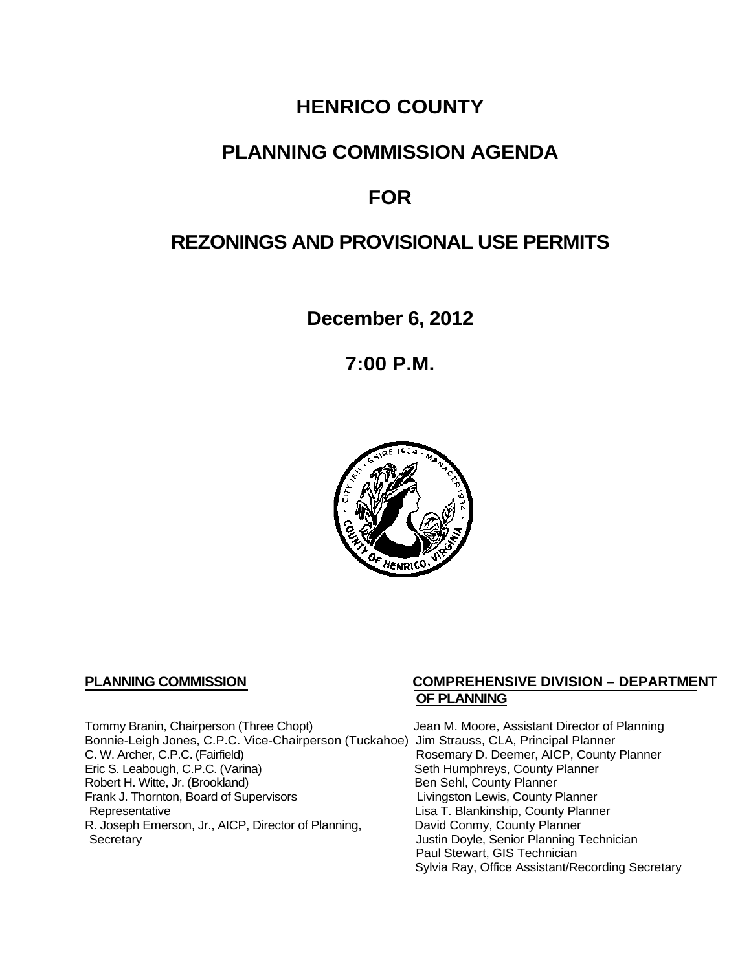## **HENRICO COUNTY**

## **PLANNING COMMISSION AGENDA**

# **FOR**

# **REZONINGS AND PROVISIONAL USE PERMITS**

**December 6, 2012**

**7:00 P.M.**



Tommy Branin, Chairperson (Three Chopt) Jean M. Moore, Assistant Director of Planning Bonnie-Leigh Jones, C.P.C. Vice-Chairperson (Tuckahoe) Jim Strauss, CLA, Principal Planner<br>C. W. Archer, C.P.C. (Fairfield) C. W. Archer, C.P.C. (Gunty C. W. Archer, C.P.C. (Fairfield) Rosemary D. Deemer, AICP, County Planner<br>
Eric S. Leabough, C.P.C. (Varina) Seth Humphreys, County Planner Robert H. Witte, Jr. (Brookland)<br>
Frank J. Thornton, Board of Supervisors<br>
Eivingston Lewis, County Planner Frank J. Thornton, Board of Supervisors<br>Representative R. Joseph Emerson, Jr., AICP, Director of Planning, Secretary

### **PLANNING COMMISSION COMPREHENSIVE DIVISION – DEPARTMENT OF PLANNING**

Seth Humphreys, County Planner<br>Ben Sehl, County Planner Lisa T. Blankinship, County Planner<br>David Conmy, County Planner Justin Doyle, Senior Planning Technician Paul Stewart, GIS Technician Sylvia Ray, Office Assistant/Recording Secretary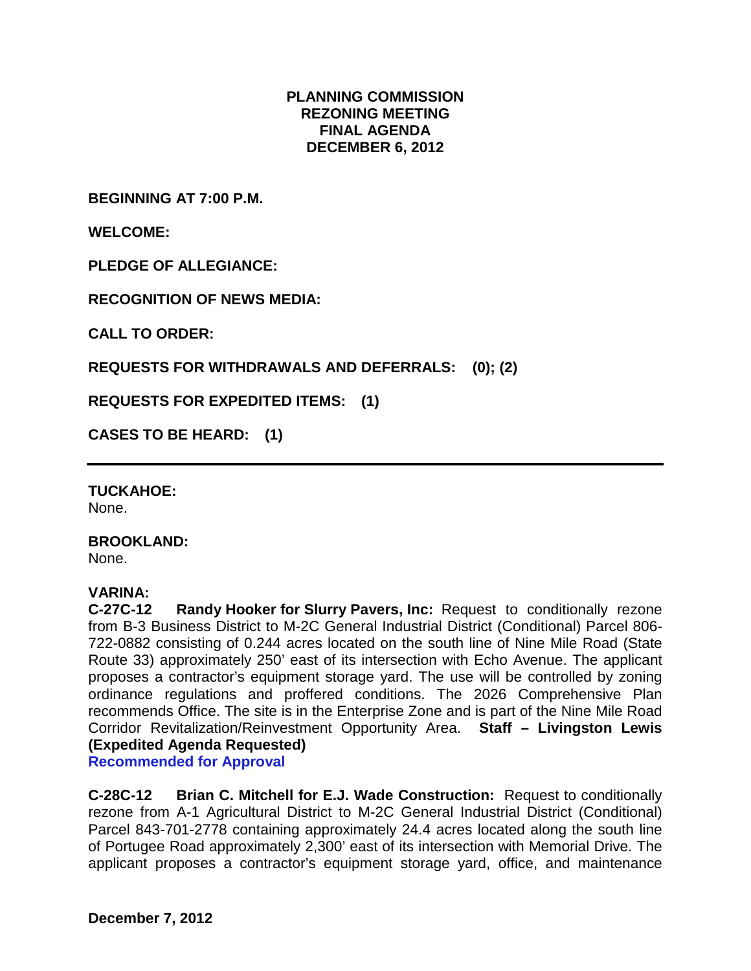#### **PLANNING COMMISSION REZONING MEETING FINAL AGENDA DECEMBER 6, 2012**

**BEGINNING AT 7:00 P.M.**

**WELCOME:**

**PLEDGE OF ALLEGIANCE:**

**RECOGNITION OF NEWS MEDIA:**

**CALL TO ORDER:**

**REQUESTS FOR WITHDRAWALS AND DEFERRALS: (0); (2)**

**REQUESTS FOR EXPEDITED ITEMS: (1)**

**CASES TO BE HEARD: (1)**

**TUCKAHOE:**

None.

**BROOKLAND:**

None.

**VARINA: Randy Hooker for Slurry Pavers, Inc: Request to conditionally rezone** from B-3 Business District to M-2C General Industrial District (Conditional) Parcel 806- 722-0882 consisting of 0.244 acres located on the south line of Nine Mile Road (State Route 33) approximately 250' east of its intersection with Echo Avenue. The applicant proposes a contractor's equipment storage yard. The use will be controlled by zoning ordinance regulations and proffered conditions. The 2026 Comprehensive Plan recommends Office. The site is in the Enterprise Zone and is part of the Nine Mile Road Corridor Revitalization/Reinvestment Opportunity Area. **Staff – Livingston Lewis (Expedited Agenda Requested) Recommended for Approval**

**C-28C-12 Brian C. Mitchell for E.J. Wade Construction:** Request to conditionally rezone from A-1 Agricultural District to M-2C General Industrial District (Conditional) Parcel 843-701-2778 containing approximately 24.4 acres located along the south line of Portugee Road approximately 2,300' east of its intersection with Memorial Drive. The applicant proposes a contractor's equipment storage yard, office, and maintenance